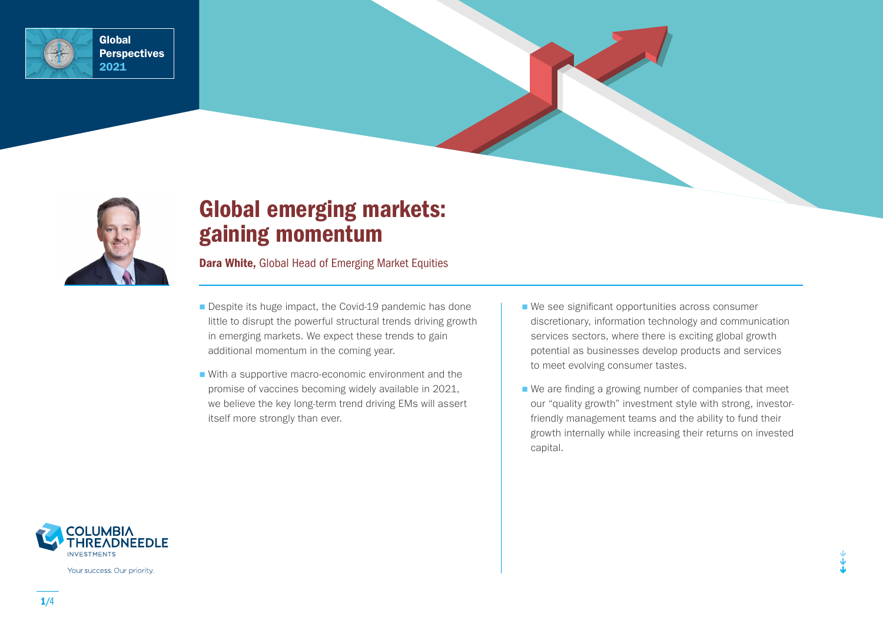



# Global emerging markets: gaining momentum

Dara White, Global Head of Emerging Market Equities

- Despite its huge impact, the Covid-19 pandemic has done little to disrupt the powerful structural trends driving growth in emerging markets. We expect these trends to gain additional momentum in the coming year.
- With a supportive macro-economic environment and the promise of vaccines becoming widely available in 2021, we believe the key long-term trend driving EMs will assert itself more strongly than ever.
- We see significant opportunities across consumer discretionary, information technology and communication services sectors, where there is exciting global growth potential as businesses develop products and services to meet evolving consumer tastes.
- We are finding a growing number of companies that meet our "quality growth" investment style with strong, investorfriendly management teams and the ability to fund their growth internally while increasing their returns on invested capital.



Your success. Our priority.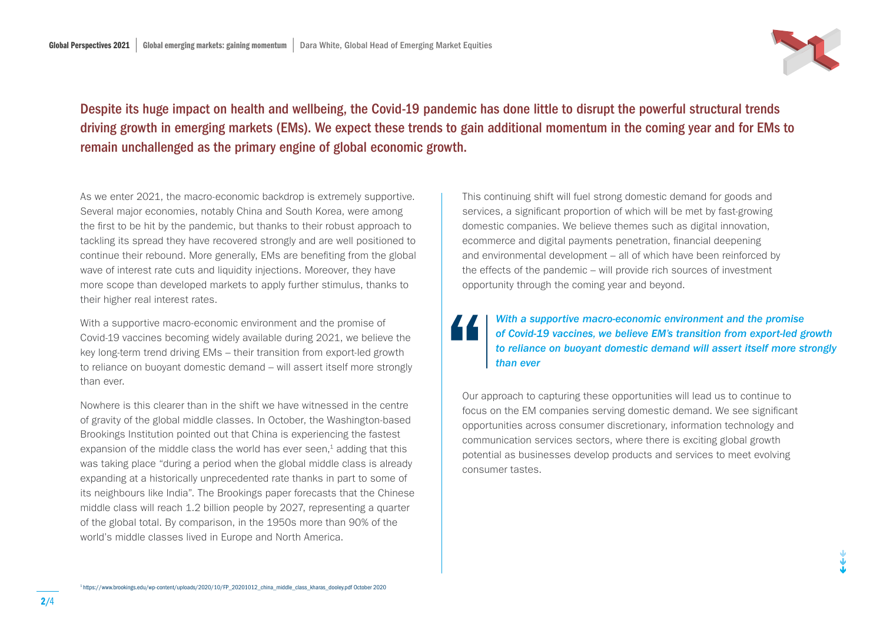

Despite its huge impact on health and wellbeing, the Covid-19 pandemic has done little to disrupt the powerful structural trends driving growth in emerging markets (EMs). We expect these trends to gain additional momentum in the coming year and for EMs to remain unchallenged as the primary engine of global economic growth.

As we enter 2021, the macro-economic backdrop is extremely supportive. Several major economies, notably China and South Korea, were among the first to be hit by the pandemic, but thanks to their robust approach to tackling its spread they have recovered strongly and are well positioned to continue their rebound. More generally, EMs are benefiting from the global wave of interest rate cuts and liquidity injections. Moreover, they have more scope than developed markets to apply further stimulus, thanks to their higher real interest rates.

With a supportive macro-economic environment and the promise of Covid-19 vaccines becoming widely available during 2021, we believe the key long-term trend driving EMs – their transition from export-led growth to reliance on buoyant domestic demand – will assert itself more strongly than ever.

Nowhere is this clearer than in the shift we have witnessed in the centre of gravity of the global middle classes. In October, the Washington-based Brookings Institution pointed out that China is experiencing the fastest expansion of the middle class the world has ever seen, $<sup>1</sup>$  adding that this</sup> was taking place "during a period when the global middle class is already expanding at a historically unprecedented rate thanks in part to some of its neighbours like India". The Brookings paper forecasts that the Chinese middle class will reach 1.2 billion people by 2027, representing a quarter of the global total. By comparison, in the 1950s more than 90% of the world's middle classes lived in Europe and North America.

This continuing shift will fuel strong domestic demand for goods and services, a significant proportion of which will be met by fast-growing domestic companies. We believe themes such as digital innovation, ecommerce and digital payments penetration, financial deepening and environmental development – all of which have been reinforced by the effects of the pandemic – will provide rich sources of investment opportunity through the coming year and beyond.

### *With a supportive macro-economic environment and the promise of Covid-19 vaccines, we believe EM's transition from export-led growth to reliance on buoyant domestic demand will assert itself more strongly than ever*

Our approach to capturing these opportunities will lead us to continue to focus on the EM companies serving domestic demand. We see significant opportunities across consumer discretionary, information technology and communication services sectors, where there is exciting global growth potential as businesses develop products and services to meet evolving consumer tastes.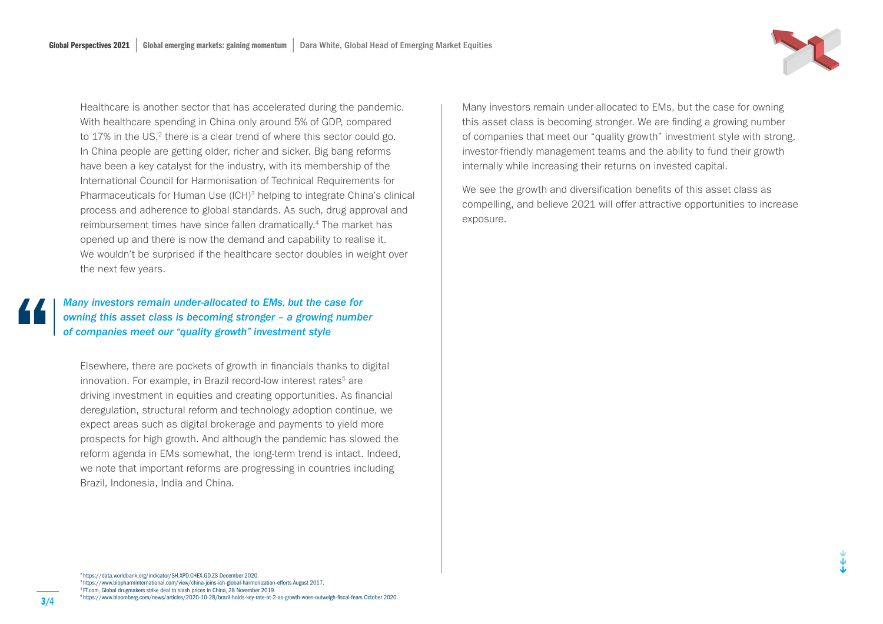Healthcare is another sector that has accelerated during the pandemic. With healthcare spending in China only around 5% of GDP, compared to 17% in the US,<sup>2</sup> there is a clear trend of where this sector could go. In China people are getting older, richer and sicker. Big bang reforms have been a key catalyst for the industry, with its membership of the International Council for Harmonisation of Technical Requirements for Pharmaceuticals for Human Use (ICH)<sup>3</sup> helping to integrate China's clinical process and adherence to global standards. As such, drug approval and reimbursement times have since fallen dramatically.4 The market has opened up and there is now the demand and capability to realise it. We wouldn't be surprised if the healthcare sector doubles in weight over the next few years.

*Many investors remain under-allocated to EMs, but the case for owning this asset class is becoming stronger – a growing number of companies meet our "quality growth" investment style*

Elsewhere, there are pockets of growth in financials thanks to digital innovation. For example, in Brazil record-low interest rates<sup>5</sup> are driving investment in equities and creating opportunities. As financial deregulation, structural reform and technology adoption continue, we expect areas such as digital brokerage and payments to yield more prospects for high growth. And although the pandemic has slowed the reform agenda in EMs somewhat, the long-term trend is intact. Indeed, we note that important reforms are progressing in countries including Brazil, Indonesia, India and China.

Many investors remain under-allocated to EMs, but the case for owning this asset class is becoming stronger. We are finding a growing number of companies that meet our "quality growth" investment style with strong, investor-friendly management teams and the ability to fund their growth internally while increasing their returns on invested capital.

We see the growth and diversification benefits of this asset class as compelling, and believe 2021 will offer attractive opportunities to increase exposure.